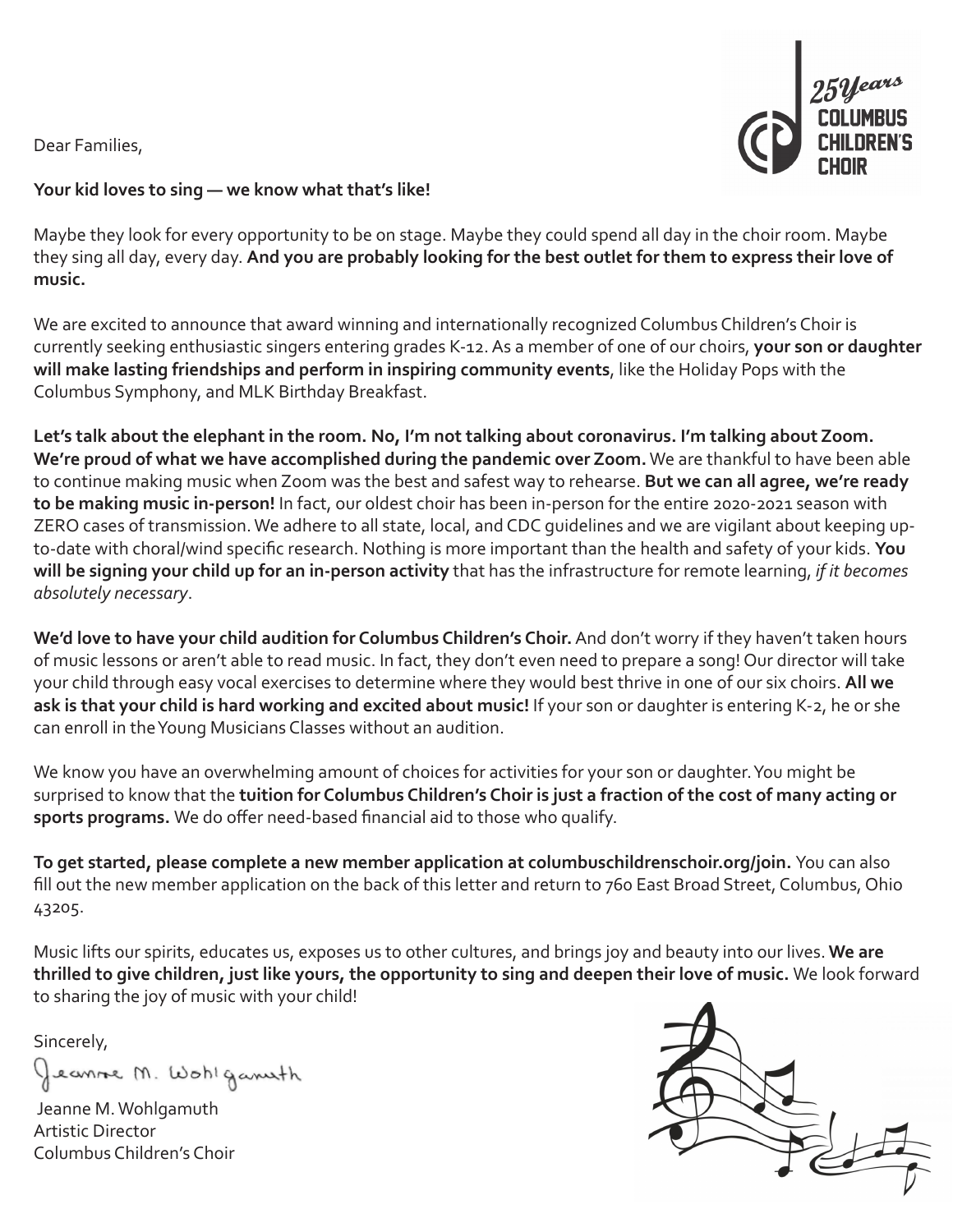Dear Families,



## **Your kid loves to sing — we know what that's like!**

Maybe they look for every opportunity to be on stage. Maybe they could spend all day in the choir room. Maybe they sing all day, every day. **And you are probably looking for the best outlet for them to express their love of music.**

We are excited to announce that award winning and internationally recognized Columbus Children's Choir is currently seeking enthusiastic singers entering grades K-12. As a member of one of our choirs, **your son or daughter will make lasting friendships and perform in inspiring community events**, like the Holiday Pops with the Columbus Symphony, and MLK Birthday Breakfast.

**Let's talk about the elephant in the room. No, I'm not talking about coronavirus. I'm talking about Zoom. We're proud of what we have accomplished during the pandemic over Zoom.** We are thankful to have been able to continue making music when Zoom was the best and safest way to rehearse. **But we can all agree, we're ready to be making music in-person!** In fact, our oldest choir has been in-person for the entire 2020-2021 season with ZERO cases of transmission. We adhere to all state, local, and CDC guidelines and we are vigilant about keeping upto-date with choral/wind specific research. Nothing is more important than the health and safety of your kids. **You will be signing your child up for an in-person activity** that has the infrastructure for remote learning, *if it becomes absolutely necessary*.

**We'd love to have your child audition for Columbus Children's Choir.** And don't worry if they haven't taken hours of music lessons or aren't able to read music. In fact, they don't even need to prepare a song! Our director will take your child through easy vocal exercises to determine where they would best thrive in one of our six choirs. **All we ask is that your child is hard working and excited about music!** If your son or daughter is entering K-2, he or she can enroll in the Young Musicians Classes without an audition.

We know you have an overwhelming amount of choices for activities for your son or daughter. You might be surprised to know that the **tuition for Columbus Children's Choir is just a fraction of the cost of many acting or sports programs.** We do offer need-based financial aid to those who qualify.

**To get started, please complete a new member application at columbuschildrenschoir.org/join.** You can also fill out the new member application on the back of this letter and return to 760 East Broad Street, Columbus, Ohio 43205.

Music lifts our spirits, educates us, exposes us to other cultures, and brings joy and beauty into our lives. **We are thrilled to give children, just like yours, the opportunity to sing and deepen their love of music.** We look forward to sharing the joy of music with your child!

Sincerely,

Jeanne M. Wohlganisth

 Jeanne M. Wohlgamuth Artistic Director Columbus Children's Choir